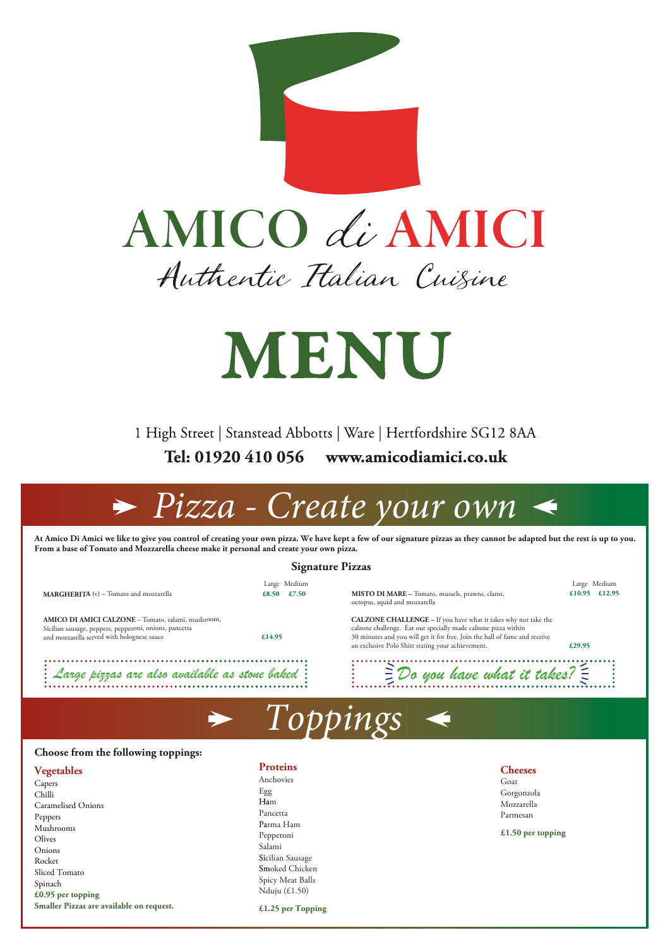

## AMICO di AMICI Authentic Italian Cuisine

# **MENU**

1 High Street | Stanstead Abbotts | Ware | Hertfordshire SG12 8AA Tel: 01920 410 056 www.amicodiamici.co.uk

| <b>Signature Pizzas</b>                                                                                      |                             |                                                                                                                                         |                               |  |
|--------------------------------------------------------------------------------------------------------------|-----------------------------|-----------------------------------------------------------------------------------------------------------------------------------------|-------------------------------|--|
| <b>MARGHERITA</b> (v) – Tomato and mozzarella                                                                | Large Medium<br>£8.50 £7.50 | <b>MISTO DI MARE –</b> Tomato, mussels, prawns, clams,                                                                                  | Large Medium<br>£10.95 £12.95 |  |
|                                                                                                              |                             | octopus, squid and mozzarella                                                                                                           |                               |  |
| AMICO DI AMICI CALZONE - Tomato, salami, mushroom,<br>Sicilian sausage, peppers, pepperoni, onions, pancetta |                             | <b>CALZONE CHALLENGE</b> - If you have what it takes why not take the<br>calzone challenge. Eat our specially made calzone pizza within |                               |  |
| and mozzarella served with bolognese sauce                                                                   | £14.95                      | 30 minutes and you will get it for free. Join the hall of fame and receive<br>an exclusive Polo Shirt stating your achievement.         | £29.95                        |  |
| $\colon \mathcal{L}$ arge pizzas are also available as stone baked $\colon$                                  |                             | $\Xi$ Do you have what it takes? $\Xi$                                                                                                  |                               |  |
|                                                                                                              |                             |                                                                                                                                         |                               |  |

*<i>iss* $\alpha$ *c* 

## *Pizza - Create your own*

**At Amico Di Amici we like to give you control of creating your own pizza. We have kept a few of our signature pizzas as they cannot be adapted but the rest is up to you. From a base of Tomato and Mozzarella cheese make it personal and create your own pizza.** 

#### **Cheeses**

### **Choose from the following toppings:**

**Vegetables** 

Goat Gorgonzola Mozzarella Parmesan

Capers Chilli Caramelised Onions Peppers Mushrooms Olives Onions Rocket Sliced Tomato Spinach **£0.95 per topping Smaller Pizzas are available on request.**

**£1.50 per topping**

**Proteins** 

Anchovies Egg Ham Pancetta Parma Ham Pepperoni Salami Sicilian Sausage Smoked Chicken Spicy Meat Balls Nduju (£1.50)

**£1.25 per Topping**